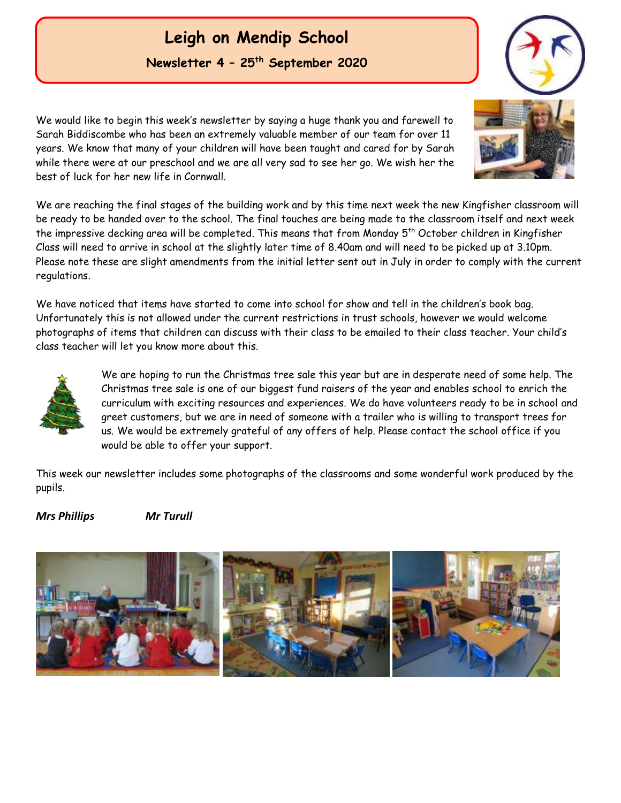## **Leigh on Mendip School Newsletter 4 – 25th September 2020**

We would like to begin this week's newsletter by saying a huge thank you and farewell to Sarah Biddiscombe who has been an extremely valuable member of our team for over 11 years. We know that many of your children will have been taught and cared for by Sarah while there were at our preschool and we are all very sad to see her go. We wish her the best of luck for her new life in Cornwall.

We are reaching the final stages of the building work and by this time next week the new Kingfisher classroom will be ready to be handed over to the school. The final touches are being made to the classroom itself and next week the impressive decking area will be completed. This means that from Monday 5th October children in Kingfisher Class will need to arrive in school at the slightly later time of 8.40am and will need to be picked up at 3.10pm. Please note these are slight amendments from the initial letter sent out in July in order to comply with the current regulations.

We have noticed that items have started to come into school for show and tell in the children's book bag. Unfortunately this is not allowed under the current restrictions in trust schools, however we would welcome photographs of items that children can discuss with their class to be emailed to their class teacher. Your child's class teacher will let you know more about this.



We are hoping to run the Christmas tree sale this year but are in desperate need of some help. The Christmas tree sale is one of our biggest fund raisers of the year and enables school to enrich the curriculum with exciting resources and experiences. We do have volunteers ready to be in school and greet customers, but we are in need of someone with a trailer who is willing to transport trees for us. We would be extremely grateful of any offers of help. Please contact the school office if you would be able to offer your support.

This week our newsletter includes some photographs of the classrooms and some wonderful work produced by the pupils.

#### *Mrs Phillips Mr Turull*